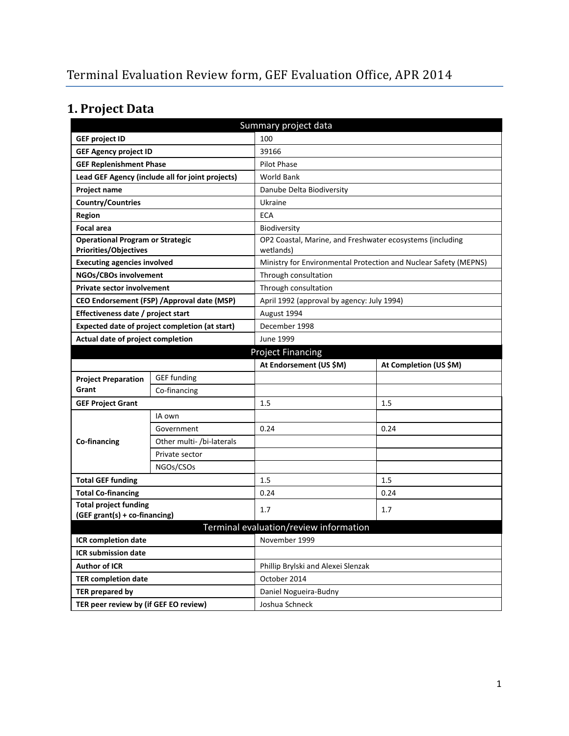# **1. Project Data**

| Summary project data                                                    |                                                  |                                                                        |                        |  |  |
|-------------------------------------------------------------------------|--------------------------------------------------|------------------------------------------------------------------------|------------------------|--|--|
| <b>GEF project ID</b>                                                   |                                                  | 100                                                                    |                        |  |  |
| <b>GEF Agency project ID</b>                                            |                                                  | 39166                                                                  |                        |  |  |
| <b>GEF Replenishment Phase</b>                                          |                                                  | <b>Pilot Phase</b>                                                     |                        |  |  |
|                                                                         | Lead GEF Agency (include all for joint projects) | <b>World Bank</b>                                                      |                        |  |  |
| Project name                                                            |                                                  | Danube Delta Biodiversity                                              |                        |  |  |
| <b>Country/Countries</b>                                                |                                                  | Ukraine                                                                |                        |  |  |
| <b>Region</b>                                                           |                                                  | <b>ECA</b>                                                             |                        |  |  |
| <b>Focal area</b>                                                       |                                                  | Biodiversity                                                           |                        |  |  |
| <b>Operational Program or Strategic</b><br><b>Priorities/Objectives</b> |                                                  | OP2 Coastal, Marine, and Freshwater ecosystems (including<br>wetlands) |                        |  |  |
| <b>Executing agencies involved</b>                                      |                                                  | Ministry for Environmental Protection and Nuclear Safety (MEPNS)       |                        |  |  |
| NGOs/CBOs involvement                                                   |                                                  | Through consultation                                                   |                        |  |  |
| <b>Private sector involvement</b>                                       |                                                  | Through consultation                                                   |                        |  |  |
| CEO Endorsement (FSP) / Approval date (MSP)                             |                                                  | April 1992 (approval by agency: July 1994)                             |                        |  |  |
| Effectiveness date / project start                                      |                                                  | August 1994                                                            |                        |  |  |
| Expected date of project completion (at start)                          |                                                  | December 1998                                                          |                        |  |  |
| Actual date of project completion                                       |                                                  | June 1999                                                              |                        |  |  |
|                                                                         |                                                  | <b>Project Financing</b>                                               |                        |  |  |
|                                                                         |                                                  | At Endorsement (US \$M)                                                | At Completion (US \$M) |  |  |
| <b>Project Preparation</b>                                              | <b>GEF</b> funding                               |                                                                        |                        |  |  |
| Grant                                                                   | Co-financing                                     |                                                                        |                        |  |  |
| <b>GEF Project Grant</b>                                                |                                                  | 1.5                                                                    | 1.5                    |  |  |
|                                                                         | IA own                                           |                                                                        |                        |  |  |
|                                                                         | Government                                       | 0.24                                                                   | 0.24                   |  |  |
| Co-financing                                                            | Other multi- /bi-laterals                        |                                                                        |                        |  |  |
|                                                                         | Private sector                                   |                                                                        |                        |  |  |
|                                                                         | NGOs/CSOs                                        |                                                                        |                        |  |  |
| <b>Total GEF funding</b>                                                |                                                  | 1.5                                                                    | 1.5                    |  |  |
| <b>Total Co-financing</b>                                               |                                                  | 0.24                                                                   | 0.24                   |  |  |
| <b>Total project funding</b>                                            |                                                  | 1.7                                                                    | 1.7                    |  |  |
| (GEF grant(s) + co-financing)                                           |                                                  |                                                                        |                        |  |  |
|                                                                         |                                                  | Terminal evaluation/review information                                 |                        |  |  |
|                                                                         | ICR completion date                              |                                                                        | November 1999          |  |  |
| <b>ICR submission date</b>                                              |                                                  |                                                                        |                        |  |  |
| <b>Author of ICR</b>                                                    |                                                  | Phillip Brylski and Alexei Slenzak                                     |                        |  |  |
| <b>TER completion date</b>                                              |                                                  | October 2014                                                           |                        |  |  |
| TER prepared by                                                         |                                                  | Daniel Nogueira-Budny                                                  |                        |  |  |
| TER peer review by (if GEF EO review)                                   |                                                  | Joshua Schneck                                                         |                        |  |  |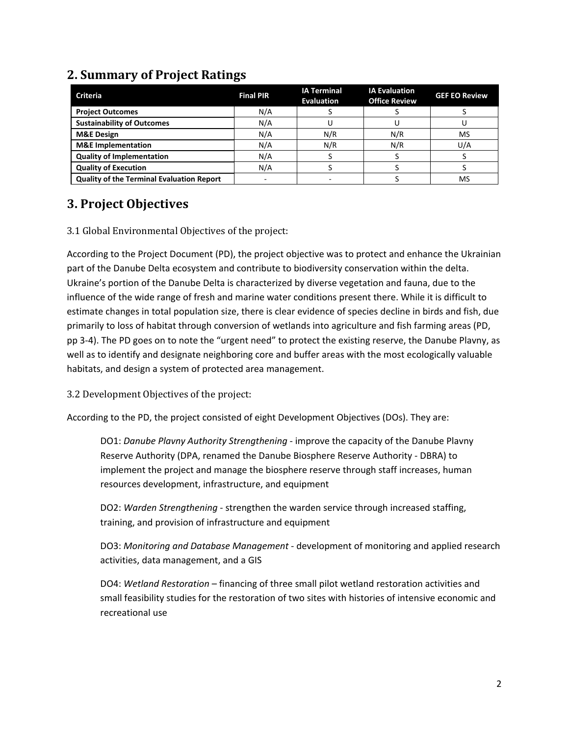| <b>Criteria</b>                                  | <b>Final PIR</b> | <b>IA Terminal</b><br><b>Evaluation</b> | <b>IA Evaluation</b><br><b>Office Review</b> | <b>GEF EO Review</b> |
|--------------------------------------------------|------------------|-----------------------------------------|----------------------------------------------|----------------------|
| <b>Project Outcomes</b>                          | N/A              |                                         |                                              |                      |
| <b>Sustainability of Outcomes</b>                | N/A              |                                         |                                              |                      |
| <b>M&amp;E Design</b>                            | N/A              | N/R                                     | N/R                                          | MS                   |
| <b>M&amp;E</b> Implementation                    | N/A              | N/R                                     | N/R                                          | U/A                  |
| <b>Quality of Implementation</b>                 | N/A              |                                         |                                              |                      |
| <b>Quality of Execution</b>                      | N/A              |                                         |                                              |                      |
| <b>Quality of the Terminal Evaluation Report</b> |                  |                                         |                                              | MS                   |

### **2. Summary of Project Ratings**

#### **3. Project Objectives**

#### 3.1 Global Environmental Objectives of the project:

According to the Project Document (PD), the project objective was to protect and enhance the Ukrainian part of the Danube Delta ecosystem and contribute to biodiversity conservation within the delta. Ukraine's portion of the Danube Delta is characterized by diverse vegetation and fauna, due to the influence of the wide range of fresh and marine water conditions present there. While it is difficult to estimate changes in total population size, there is clear evidence of species decline in birds and fish, due primarily to loss of habitat through conversion of wetlands into agriculture and fish farming areas (PD, pp 3-4). The PD goes on to note the "urgent need" to protect the existing reserve, the Danube Plavny, as well as to identify and designate neighboring core and buffer areas with the most ecologically valuable habitats, and design a system of protected area management.

3.2 Development Objectives of the project:

According to the PD, the project consisted of eight Development Objectives (DOs). They are:

DO1: *Danube Plavny Authority Strengthening* - improve the capacity of the Danube Plavny Reserve Authority (DPA, renamed the Danube Biosphere Reserve Authority - DBRA) to implement the project and manage the biosphere reserve through staff increases, human resources development, infrastructure, and equipment

DO2: *Warden Strengthening* - strengthen the warden service through increased staffing, training, and provision of infrastructure and equipment

DO3: *Monitoring and Database Management* - development of monitoring and applied research activities, data management, and a GIS

DO4: *Wetland Restoration* – financing of three small pilot wetland restoration activities and small feasibility studies for the restoration of two sites with histories of intensive economic and recreational use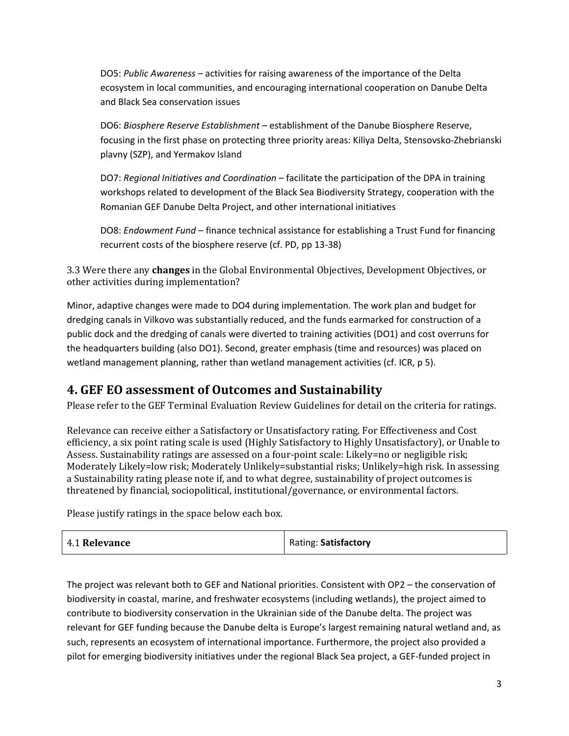DO5: *Public Awareness* – activities for raising awareness of the importance of the Delta ecosystem in local communities, and encouraging international cooperation on Danube Delta and Black Sea conservation issues

DO6: *Biosphere Reserve Establishment* – establishment of the Danube Biosphere Reserve, focusing in the first phase on protecting three priority areas: Kiliya Delta, Stensovsko-Zhebrianski plavny (SZP), and Yermakov Island

DO7: *Regional Initiatives and Coordination* – facilitate the participation of the DPA in training workshops related to development of the Black Sea Biodiversity Strategy, cooperation with the Romanian GEF Danube Delta Project, and other international initiatives

DO8: *Endowment Fund* – finance technical assistance for establishing a Trust Fund for financing recurrent costs of the biosphere reserve (cf. PD, pp 13-38)

3.3 Were there any **changes** in the Global Environmental Objectives, Development Objectives, or other activities during implementation?

Minor, adaptive changes were made to DO4 during implementation. The work plan and budget for dredging canals in Vilkovo was substantially reduced, and the funds earmarked for construction of a public dock and the dredging of canals were diverted to training activities (DO1) and cost overruns for the headquarters building (also DO1). Second, greater emphasis (time and resources) was placed on wetland management planning, rather than wetland management activities (cf. ICR, p 5).

#### **4. GEF EO assessment of Outcomes and Sustainability**

Please refer to the GEF Terminal Evaluation Review Guidelines for detail on the criteria for ratings.

Relevance can receive either a Satisfactory or Unsatisfactory rating. For Effectiveness and Cost efficiency, a six point rating scale is used (Highly Satisfactory to Highly Unsatisfactory), or Unable to Assess. Sustainability ratings are assessed on a four-point scale: Likely=no or negligible risk; Moderately Likely=low risk; Moderately Unlikely=substantial risks; Unlikely=high risk. In assessing a Sustainability rating please note if, and to what degree, sustainability of project outcomes is threatened by financial, sociopolitical, institutional/governance, or environmental factors.

Please justify ratings in the space below each box.

| 4.1 Relevance | Rating: Satisfactory |
|---------------|----------------------|
|---------------|----------------------|

The project was relevant both to GEF and National priorities. Consistent with OP2 – the conservation of biodiversity in coastal, marine, and freshwater ecosystems (including wetlands), the project aimed to contribute to biodiversity conservation in the Ukrainian side of the Danube delta. The project was relevant for GEF funding because the Danube delta is Europe's largest remaining natural wetland and, as such, represents an ecosystem of international importance. Furthermore, the project also provided a pilot for emerging biodiversity initiatives under the regional Black Sea project, a GEF-funded project in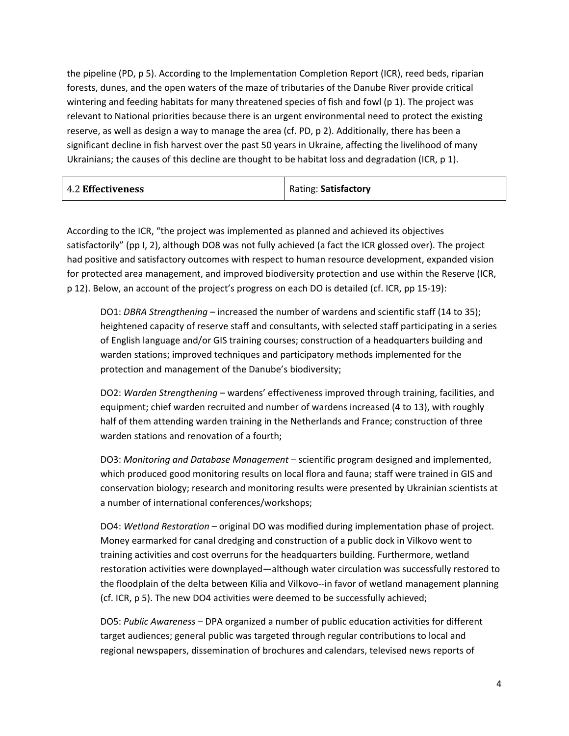the pipeline (PD, p 5). According to the Implementation Completion Report (ICR), reed beds, riparian forests, dunes, and the open waters of the maze of tributaries of the Danube River provide critical wintering and feeding habitats for many threatened species of fish and fowl (p 1). The project was relevant to National priorities because there is an urgent environmental need to protect the existing reserve, as well as design a way to manage the area (cf. PD, p 2). Additionally, there has been a significant decline in fish harvest over the past 50 years in Ukraine, affecting the livelihood of many Ukrainians; the causes of this decline are thought to be habitat loss and degradation (ICR, p 1).

| <b>4.2 Effectiveness</b> | Rating: Satisfactory |
|--------------------------|----------------------|
|                          |                      |

According to the ICR, "the project was implemented as planned and achieved its objectives satisfactorily" (pp I, 2), although DO8 was not fully achieved (a fact the ICR glossed over). The project had positive and satisfactory outcomes with respect to human resource development, expanded vision for protected area management, and improved biodiversity protection and use within the Reserve (ICR, p 12). Below, an account of the project's progress on each DO is detailed (cf. ICR, pp 15-19):

DO1: *DBRA Strengthening* – increased the number of wardens and scientific staff (14 to 35); heightened capacity of reserve staff and consultants, with selected staff participating in a series of English language and/or GIS training courses; construction of a headquarters building and warden stations; improved techniques and participatory methods implemented for the protection and management of the Danube's biodiversity;

DO2: *Warden Strengthening* – wardens' effectiveness improved through training, facilities, and equipment; chief warden recruited and number of wardens increased (4 to 13), with roughly half of them attending warden training in the Netherlands and France; construction of three warden stations and renovation of a fourth;

DO3: *Monitoring and Database Management* – scientific program designed and implemented, which produced good monitoring results on local flora and fauna; staff were trained in GIS and conservation biology; research and monitoring results were presented by Ukrainian scientists at a number of international conferences/workshops;

DO4: *Wetland Restoration* – original DO was modified during implementation phase of project. Money earmarked for canal dredging and construction of a public dock in Vilkovo went to training activities and cost overruns for the headquarters building. Furthermore, wetland restoration activities were downplayed—although water circulation was successfully restored to the floodplain of the delta between Kilia and Vilkovo--in favor of wetland management planning (cf. ICR, p 5). The new DO4 activities were deemed to be successfully achieved;

DO5: *Public Awareness* – DPA organized a number of public education activities for different target audiences; general public was targeted through regular contributions to local and regional newspapers, dissemination of brochures and calendars, televised news reports of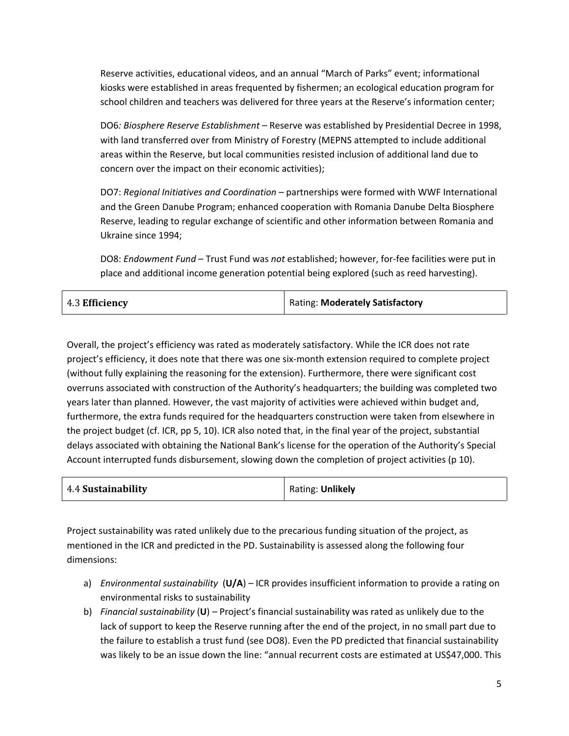Reserve activities, educational videos, and an annual "March of Parks" event; informational kiosks were established in areas frequented by fishermen; an ecological education program for school children and teachers was delivered for three years at the Reserve's information center;

DO6*: Biosphere Reserve Establishment* – Reserve was established by Presidential Decree in 1998, with land transferred over from Ministry of Forestry (MEPNS attempted to include additional areas within the Reserve, but local communities resisted inclusion of additional land due to concern over the impact on their economic activities);

DO7: *Regional Initiatives and Coordination* – partnerships were formed with WWF International and the Green Danube Program; enhanced cooperation with Romania Danube Delta Biosphere Reserve, leading to regular exchange of scientific and other information between Romania and Ukraine since 1994;

DO8: *Endowment Fund* – Trust Fund was *not* established; however, for-fee facilities were put in place and additional income generation potential being explored (such as reed harvesting).

| 4.3 Efficiency | Rating: Moderately Satisfactory |
|----------------|---------------------------------|
|----------------|---------------------------------|

Overall, the project's efficiency was rated as moderately satisfactory. While the ICR does not rate project's efficiency, it does note that there was one six-month extension required to complete project (without fully explaining the reasoning for the extension). Furthermore, there were significant cost overruns associated with construction of the Authority's headquarters; the building was completed two years later than planned. However, the vast majority of activities were achieved within budget and, furthermore, the extra funds required for the headquarters construction were taken from elsewhere in the project budget (cf. ICR, pp 5, 10). ICR also noted that, in the final year of the project, substantial delays associated with obtaining the National Bank's license for the operation of the Authority's Special Account interrupted funds disbursement, slowing down the completion of project activities (p 10).

| 4.4 Sustainability | Rating: Unlikely |
|--------------------|------------------|
|--------------------|------------------|

Project sustainability was rated unlikely due to the precarious funding situation of the project, as mentioned in the ICR and predicted in the PD. Sustainability is assessed along the following four dimensions:

- a) *Environmental sustainability* (**U/A**) ICR provides insufficient information to provide a rating on environmental risks to sustainability
- b) *Financial sustainability* (**U**) Project's financial sustainability was rated as unlikely due to the lack of support to keep the Reserve running after the end of the project, in no small part due to the failure to establish a trust fund (see DO8). Even the PD predicted that financial sustainability was likely to be an issue down the line: "annual recurrent costs are estimated at US\$47,000. This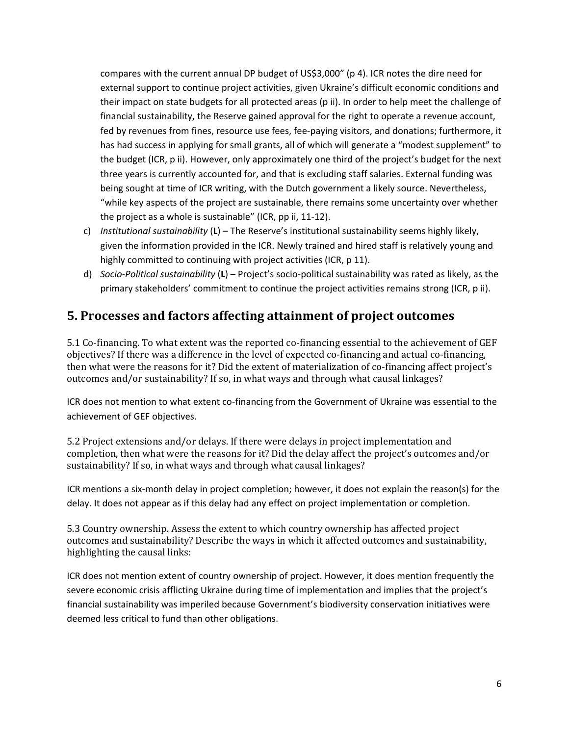compares with the current annual DP budget of US\$3,000" (p 4). ICR notes the dire need for external support to continue project activities, given Ukraine's difficult economic conditions and their impact on state budgets for all protected areas (p ii). In order to help meet the challenge of financial sustainability, the Reserve gained approval for the right to operate a revenue account, fed by revenues from fines, resource use fees, fee-paying visitors, and donations; furthermore, it has had success in applying for small grants, all of which will generate a "modest supplement" to the budget (ICR, p ii). However, only approximately one third of the project's budget for the next three years is currently accounted for, and that is excluding staff salaries. External funding was being sought at time of ICR writing, with the Dutch government a likely source. Nevertheless, "while key aspects of the project are sustainable, there remains some uncertainty over whether the project as a whole is sustainable" (ICR, pp ii, 11-12).

- c) *Institutional sustainability* (**L**) The Reserve's institutional sustainability seems highly likely, given the information provided in the ICR. Newly trained and hired staff is relatively young and highly committed to continuing with project activities (ICR, p 11).
- d) *Socio-Political sustainability* (**L**) Project's socio-political sustainability was rated as likely, as the primary stakeholders' commitment to continue the project activities remains strong (ICR, p ii).

## **5. Processes and factors affecting attainment of project outcomes**

5.1 Co-financing. To what extent was the reported co-financing essential to the achievement of GEF objectives? If there was a difference in the level of expected co-financing and actual co-financing, then what were the reasons for it? Did the extent of materialization of co-financing affect project's outcomes and/or sustainability? If so, in what ways and through what causal linkages?

ICR does not mention to what extent co-financing from the Government of Ukraine was essential to the achievement of GEF objectives.

5.2 Project extensions and/or delays. If there were delays in project implementation and completion, then what were the reasons for it? Did the delay affect the project's outcomes and/or sustainability? If so, in what ways and through what causal linkages?

ICR mentions a six-month delay in project completion; however, it does not explain the reason(s) for the delay. It does not appear as if this delay had any effect on project implementation or completion.

5.3 Country ownership. Assess the extent to which country ownership has affected project outcomes and sustainability? Describe the ways in which it affected outcomes and sustainability, highlighting the causal links:

ICR does not mention extent of country ownership of project. However, it does mention frequently the severe economic crisis afflicting Ukraine during time of implementation and implies that the project's financial sustainability was imperiled because Government's biodiversity conservation initiatives were deemed less critical to fund than other obligations.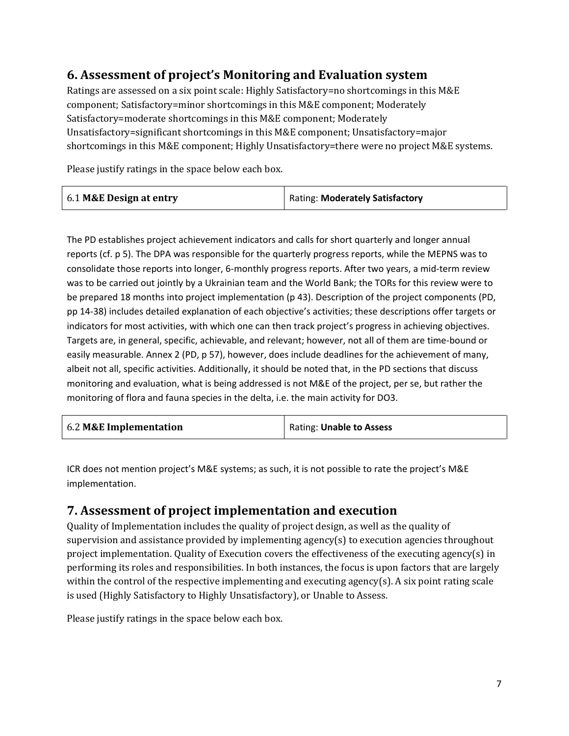### **6. Assessment of project's Monitoring and Evaluation system**

Ratings are assessed on a six point scale: Highly Satisfactory=no shortcomings in this M&E component; Satisfactory=minor shortcomings in this M&E component; Moderately Satisfactory=moderate shortcomings in this M&E component; Moderately Unsatisfactory=significant shortcomings in this M&E component; Unsatisfactory=major shortcomings in this M&E component; Highly Unsatisfactory=there were no project M&E systems.

Please justify ratings in the space below each box.

| 6.1 M&E Design at entry | Rating: Moderately Satisfactory |
|-------------------------|---------------------------------|
|-------------------------|---------------------------------|

The PD establishes project achievement indicators and calls for short quarterly and longer annual reports (cf. p 5). The DPA was responsible for the quarterly progress reports, while the MEPNS was to consolidate those reports into longer, 6-monthly progress reports. After two years, a mid-term review was to be carried out jointly by a Ukrainian team and the World Bank; the TORs for this review were to be prepared 18 months into project implementation (p 43). Description of the project components (PD, pp 14-38) includes detailed explanation of each objective's activities; these descriptions offer targets or indicators for most activities, with which one can then track project's progress in achieving objectives. Targets are, in general, specific, achievable, and relevant; however, not all of them are time-bound or easily measurable. Annex 2 (PD, p 57), however, does include deadlines for the achievement of many, albeit not all, specific activities. Additionally, it should be noted that, in the PD sections that discuss monitoring and evaluation, what is being addressed is not M&E of the project, per se, but rather the monitoring of flora and fauna species in the delta, i.e. the main activity for DO3.

| 6.2 M&E Implementation | Rating: Unable to Assess |
|------------------------|--------------------------|
|------------------------|--------------------------|

ICR does not mention project's M&E systems; as such, it is not possible to rate the project's M&E implementation.

#### **7. Assessment of project implementation and execution**

Quality of Implementation includes the quality of project design, as well as the quality of supervision and assistance provided by implementing agency(s) to execution agencies throughout project implementation. Quality of Execution covers the effectiveness of the executing agency(s) in performing its roles and responsibilities. In both instances, the focus is upon factors that are largely within the control of the respective implementing and executing agency(s). A six point rating scale is used (Highly Satisfactory to Highly Unsatisfactory), or Unable to Assess.

Please justify ratings in the space below each box.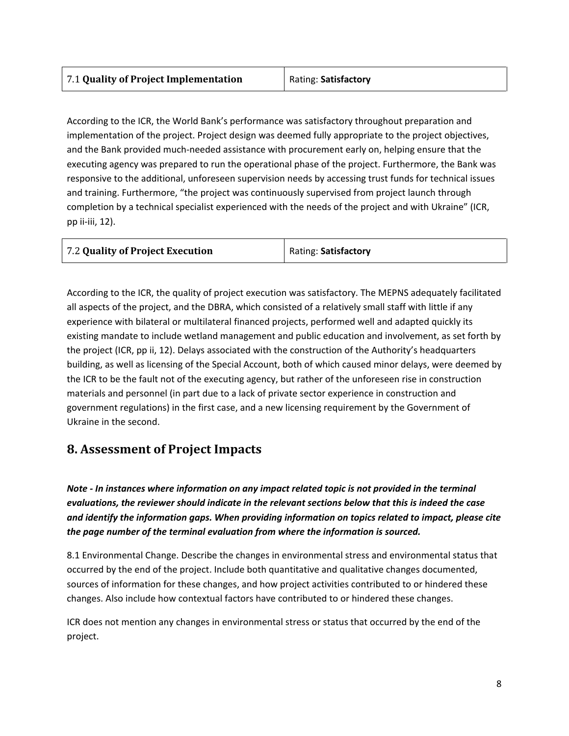According to the ICR, the World Bank's performance was satisfactory throughout preparation and implementation of the project. Project design was deemed fully appropriate to the project objectives, and the Bank provided much-needed assistance with procurement early on, helping ensure that the executing agency was prepared to run the operational phase of the project. Furthermore, the Bank was responsive to the additional, unforeseen supervision needs by accessing trust funds for technical issues and training. Furthermore, "the project was continuously supervised from project launch through completion by a technical specialist experienced with the needs of the project and with Ukraine" (ICR, pp ii-iii, 12).

According to the ICR, the quality of project execution was satisfactory. The MEPNS adequately facilitated all aspects of the project, and the DBRA, which consisted of a relatively small staff with little if any experience with bilateral or multilateral financed projects, performed well and adapted quickly its existing mandate to include wetland management and public education and involvement, as set forth by the project (ICR, pp ii, 12). Delays associated with the construction of the Authority's headquarters building, as well as licensing of the Special Account, both of which caused minor delays, were deemed by the ICR to be the fault not of the executing agency, but rather of the unforeseen rise in construction materials and personnel (in part due to a lack of private sector experience in construction and government regulations) in the first case, and a new licensing requirement by the Government of Ukraine in the second.

#### **8. Assessment of Project Impacts**

*Note - In instances where information on any impact related topic is not provided in the terminal evaluations, the reviewer should indicate in the relevant sections below that this is indeed the case and identify the information gaps. When providing information on topics related to impact, please cite the page number of the terminal evaluation from where the information is sourced.* 

8.1 Environmental Change. Describe the changes in environmental stress and environmental status that occurred by the end of the project. Include both quantitative and qualitative changes documented, sources of information for these changes, and how project activities contributed to or hindered these changes. Also include how contextual factors have contributed to or hindered these changes.

ICR does not mention any changes in environmental stress or status that occurred by the end of the project.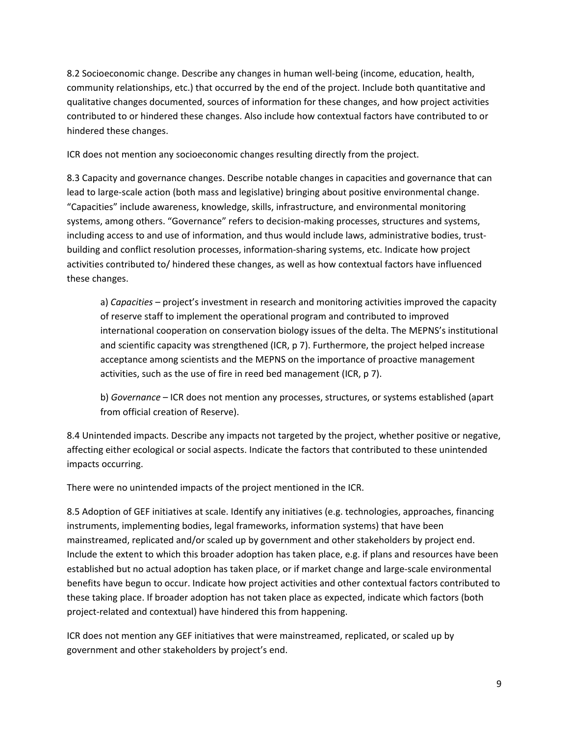8.2 Socioeconomic change. Describe any changes in human well-being (income, education, health, community relationships, etc.) that occurred by the end of the project. Include both quantitative and qualitative changes documented, sources of information for these changes, and how project activities contributed to or hindered these changes. Also include how contextual factors have contributed to or hindered these changes.

ICR does not mention any socioeconomic changes resulting directly from the project.

8.3 Capacity and governance changes. Describe notable changes in capacities and governance that can lead to large-scale action (both mass and legislative) bringing about positive environmental change. "Capacities" include awareness, knowledge, skills, infrastructure, and environmental monitoring systems, among others. "Governance" refers to decision-making processes, structures and systems, including access to and use of information, and thus would include laws, administrative bodies, trustbuilding and conflict resolution processes, information-sharing systems, etc. Indicate how project activities contributed to/ hindered these changes, as well as how contextual factors have influenced these changes.

a) *Capacities* – project's investment in research and monitoring activities improved the capacity of reserve staff to implement the operational program and contributed to improved international cooperation on conservation biology issues of the delta. The MEPNS's institutional and scientific capacity was strengthened (ICR, p 7). Furthermore, the project helped increase acceptance among scientists and the MEPNS on the importance of proactive management activities, such as the use of fire in reed bed management (ICR, p 7).

b) *Governance* – ICR does not mention any processes, structures, or systems established (apart from official creation of Reserve).

8.4 Unintended impacts. Describe any impacts not targeted by the project, whether positive or negative, affecting either ecological or social aspects. Indicate the factors that contributed to these unintended impacts occurring.

There were no unintended impacts of the project mentioned in the ICR.

8.5 Adoption of GEF initiatives at scale. Identify any initiatives (e.g. technologies, approaches, financing instruments, implementing bodies, legal frameworks, information systems) that have been mainstreamed, replicated and/or scaled up by government and other stakeholders by project end. Include the extent to which this broader adoption has taken place, e.g. if plans and resources have been established but no actual adoption has taken place, or if market change and large-scale environmental benefits have begun to occur. Indicate how project activities and other contextual factors contributed to these taking place. If broader adoption has not taken place as expected, indicate which factors (both project-related and contextual) have hindered this from happening.

ICR does not mention any GEF initiatives that were mainstreamed, replicated, or scaled up by government and other stakeholders by project's end.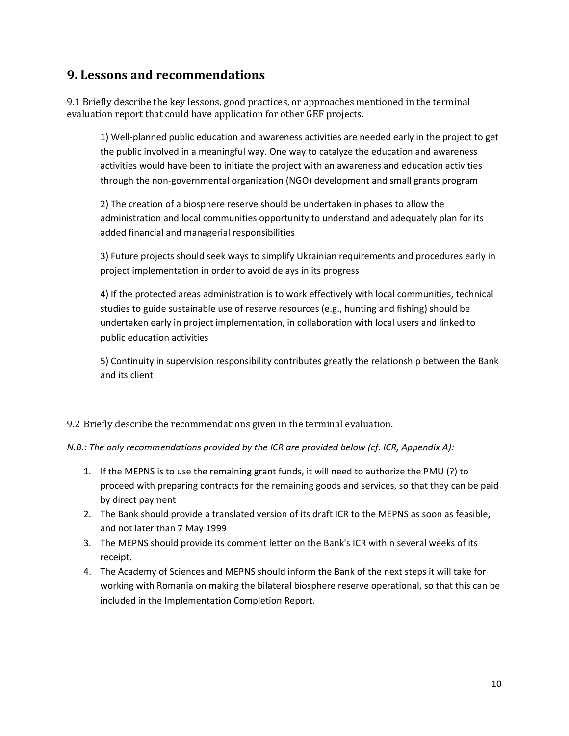#### **9. Lessons and recommendations**

9.1 Briefly describe the key lessons, good practices, or approaches mentioned in the terminal evaluation report that could have application for other GEF projects.

1) Well-planned public education and awareness activities are needed early in the project to get the public involved in a meaningful way. One way to catalyze the education and awareness activities would have been to initiate the project with an awareness and education activities through the non-governmental organization (NGO) development and small grants program

2) The creation of a biosphere reserve should be undertaken in phases to allow the administration and local communities opportunity to understand and adequately plan for its added financial and managerial responsibilities

3) Future projects should seek ways to simplify Ukrainian requirements and procedures early in project implementation in order to avoid delays in its progress

4) If the protected areas administration is to work effectively with local communities, technical studies to guide sustainable use of reserve resources (e.g., hunting and fishing) should be undertaken early in project implementation, in collaboration with local users and linked to public education activities

5) Continuity in supervision responsibility contributes greatly the relationship between the Bank and its client

#### 9.2 Briefly describe the recommendations given in the terminal evaluation.

*N.B.: The only recommendations provided by the ICR are provided below (cf. ICR, Appendix A):* 

- 1. If the MEPNS is to use the remaining grant funds, it will need to authorize the PMU (?) to proceed with preparing contracts for the remaining goods and services, so that they can be paid by direct payment
- 2. The Bank should provide a translated version of its draft ICR to the MEPNS as soon as feasible, and not later than 7 May 1999
- 3. The MEPNS should provide its comment letter on the Bank's ICR within several weeks of its receipt.
- 4. The Academy of Sciences and MEPNS should inform the Bank of the next steps it will take for working with Romania on making the bilateral biosphere reserve operational, so that this can be included in the Implementation Completion Report.